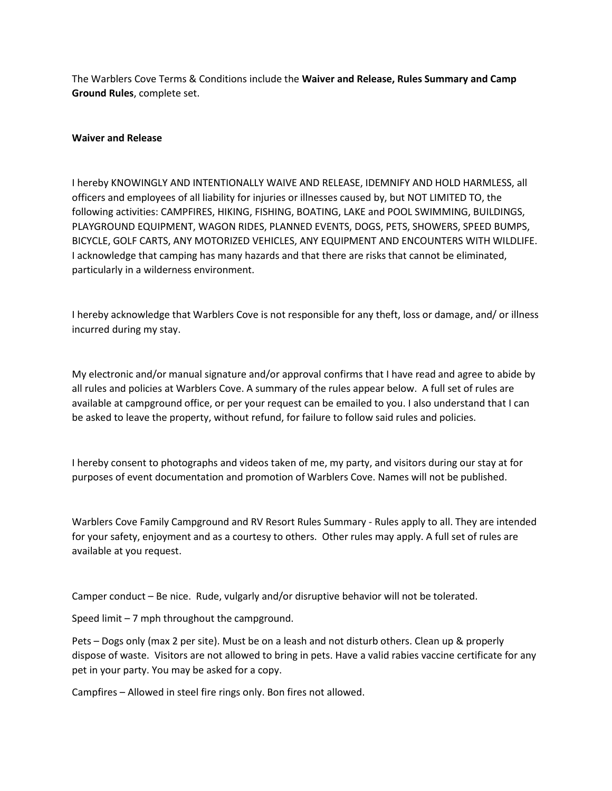The Warblers Cove Terms & Conditions include the **Waiver and Release, Rules Summary and Camp Ground Rules**, complete set.

### **Waiver and Release**

I hereby KNOWINGLY AND INTENTIONALLY WAIVE AND RELEASE, IDEMNIFY AND HOLD HARMLESS, all officers and employees of all liability for injuries or illnesses caused by, but NOT LIMITED TO, the following activities: CAMPFIRES, HIKING, FISHING, BOATING, LAKE and POOL SWIMMING, BUILDINGS, PLAYGROUND EQUIPMENT, WAGON RIDES, PLANNED EVENTS, DOGS, PETS, SHOWERS, SPEED BUMPS, BICYCLE, GOLF CARTS, ANY MOTORIZED VEHICLES, ANY EQUIPMENT AND ENCOUNTERS WITH WILDLIFE. I acknowledge that camping has many hazards and that there are risks that cannot be eliminated, particularly in a wilderness environment.

I hereby acknowledge that Warblers Cove is not responsible for any theft, loss or damage, and/ or illness incurred during my stay.

My electronic and/or manual signature and/or approval confirms that I have read and agree to abide by all rules and policies at Warblers Cove. A summary of the rules appear below. A full set of rules are available at campground office, or per your request can be emailed to you. I also understand that I can be asked to leave the property, without refund, for failure to follow said rules and policies.

I hereby consent to photographs and videos taken of me, my party, and visitors during our stay at for purposes of event documentation and promotion of Warblers Cove. Names will not be published.

Warblers Cove Family Campground and RV Resort Rules Summary - Rules apply to all. They are intended for your safety, enjoyment and as a courtesy to others. Other rules may apply. A full set of rules are available at you request.

Camper conduct – Be nice. Rude, vulgarly and/or disruptive behavior will not be tolerated.

Speed limit – 7 mph throughout the campground.

Pets – Dogs only (max 2 per site). Must be on a leash and not disturb others. Clean up & properly dispose of waste. Visitors are not allowed to bring in pets. Have a valid rabies vaccine certificate for any pet in your party. You may be asked for a copy.

Campfires – Allowed in steel fire rings only. Bon fires not allowed.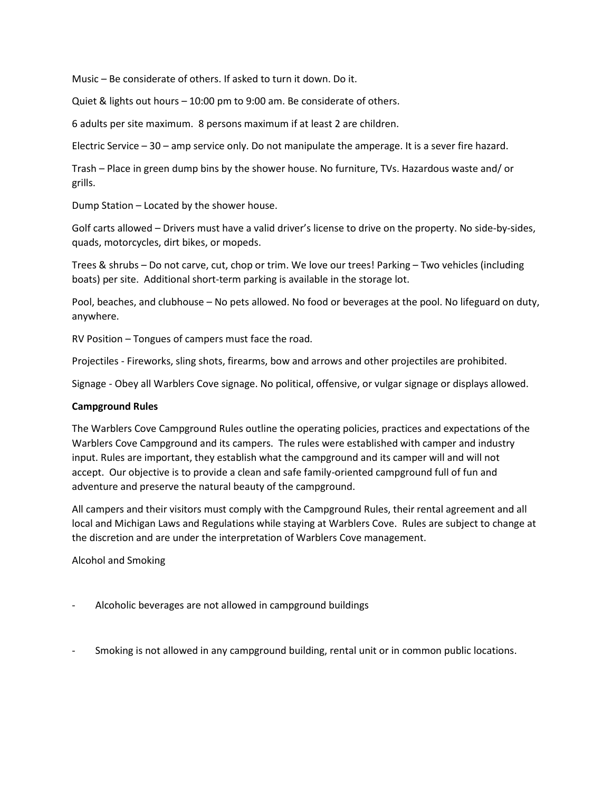Music – Be considerate of others. If asked to turn it down. Do it.

Quiet & lights out hours – 10:00 pm to 9:00 am. Be considerate of others.

6 adults per site maximum. 8 persons maximum if at least 2 are children.

Electric Service – 30 – amp service only. Do not manipulate the amperage. It is a sever fire hazard.

Trash – Place in green dump bins by the shower house. No furniture, TVs. Hazardous waste and/ or grills.

Dump Station – Located by the shower house.

Golf carts allowed – Drivers must have a valid driver's license to drive on the property. No side-by-sides, quads, motorcycles, dirt bikes, or mopeds.

Trees & shrubs – Do not carve, cut, chop or trim. We love our trees! Parking – Two vehicles (including boats) per site. Additional short-term parking is available in the storage lot.

Pool, beaches, and clubhouse – No pets allowed. No food or beverages at the pool. No lifeguard on duty, anywhere.

RV Position – Tongues of campers must face the road.

Projectiles - Fireworks, sling shots, firearms, bow and arrows and other projectiles are prohibited.

Signage - Obey all Warblers Cove signage. No political, offensive, or vulgar signage or displays allowed.

#### **Campground Rules**

The Warblers Cove Campground Rules outline the operating policies, practices and expectations of the Warblers Cove Campground and its campers. The rules were established with camper and industry input. Rules are important, they establish what the campground and its camper will and will not accept. Our objective is to provide a clean and safe family-oriented campground full of fun and adventure and preserve the natural beauty of the campground.

All campers and their visitors must comply with the Campground Rules, their rental agreement and all local and Michigan Laws and Regulations while staying at Warblers Cove. Rules are subject to change at the discretion and are under the interpretation of Warblers Cove management.

Alcohol and Smoking

- Alcoholic beverages are not allowed in campground buildings
- Smoking is not allowed in any campground building, rental unit or in common public locations.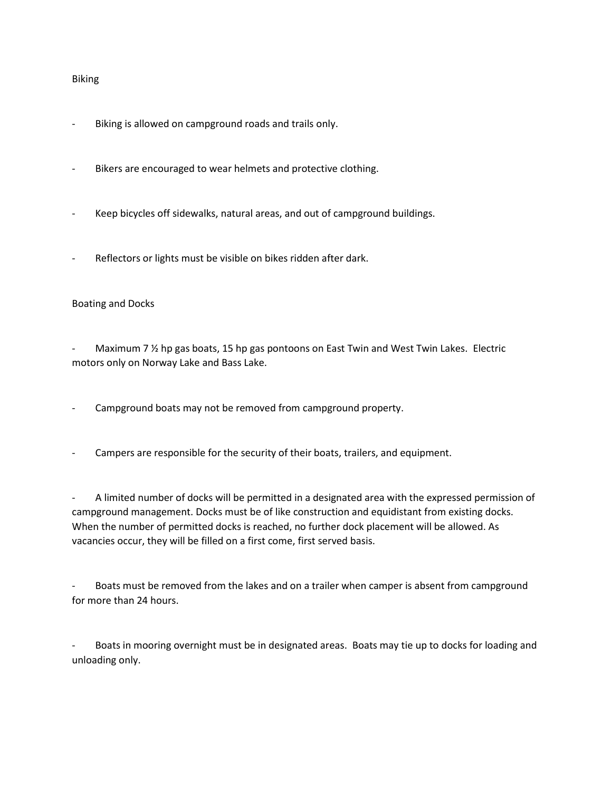#### Biking

- Biking is allowed on campground roads and trails only.
- Bikers are encouraged to wear helmets and protective clothing.
- Keep bicycles off sidewalks, natural areas, and out of campground buildings.
- Reflectors or lights must be visible on bikes ridden after dark.

## Boating and Docks

Maximum 7  $\frac{1}{2}$  hp gas boats, 15 hp gas pontoons on East Twin and West Twin Lakes. Electric motors only on Norway Lake and Bass Lake.

- Campground boats may not be removed from campground property.
- Campers are responsible for the security of their boats, trailers, and equipment.

- A limited number of docks will be permitted in a designated area with the expressed permission of campground management. Docks must be of like construction and equidistant from existing docks. When the number of permitted docks is reached, no further dock placement will be allowed. As vacancies occur, they will be filled on a first come, first served basis.

Boats must be removed from the lakes and on a trailer when camper is absent from campground for more than 24 hours.

Boats in mooring overnight must be in designated areas. Boats may tie up to docks for loading and unloading only.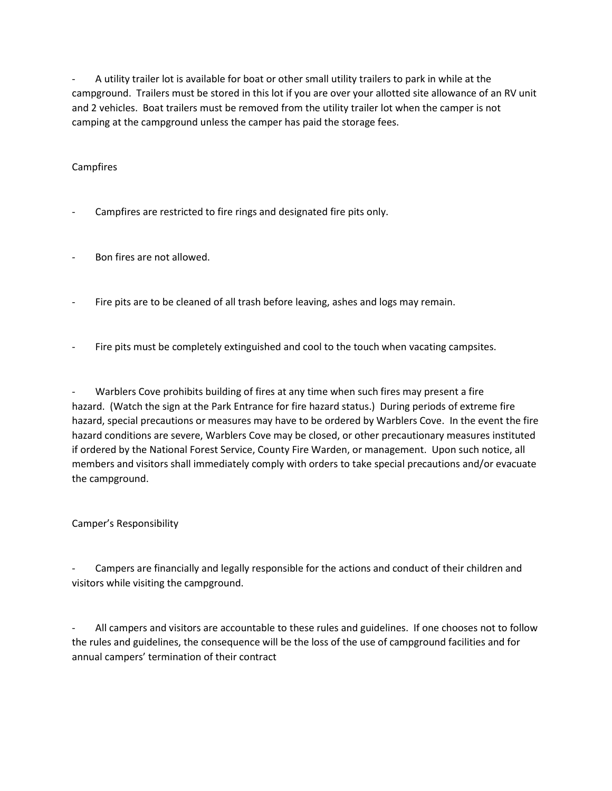- A utility trailer lot is available for boat or other small utility trailers to park in while at the campground. Trailers must be stored in this lot if you are over your allotted site allowance of an RV unit and 2 vehicles. Boat trailers must be removed from the utility trailer lot when the camper is not camping at the campground unless the camper has paid the storage fees.

# Campfires

- Campfires are restricted to fire rings and designated fire pits only.
- Bon fires are not allowed.
- Fire pits are to be cleaned of all trash before leaving, ashes and logs may remain.
- Fire pits must be completely extinguished and cool to the touch when vacating campsites.

Warblers Cove prohibits building of fires at any time when such fires may present a fire hazard. (Watch the sign at the Park Entrance for fire hazard status.) During periods of extreme fire hazard, special precautions or measures may have to be ordered by Warblers Cove. In the event the fire hazard conditions are severe, Warblers Cove may be closed, or other precautionary measures instituted if ordered by the National Forest Service, County Fire Warden, or management. Upon such notice, all members and visitors shall immediately comply with orders to take special precautions and/or evacuate the campground.

## Camper's Responsibility

Campers are financially and legally responsible for the actions and conduct of their children and visitors while visiting the campground.

All campers and visitors are accountable to these rules and guidelines. If one chooses not to follow the rules and guidelines, the consequence will be the loss of the use of campground facilities and for annual campers' termination of their contract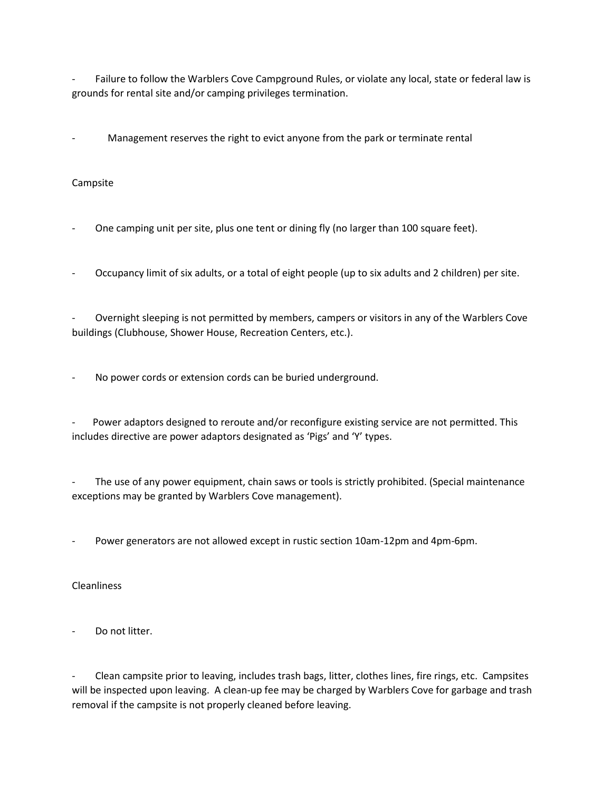Failure to follow the Warblers Cove Campground Rules, or violate any local, state or federal law is grounds for rental site and/or camping privileges termination.

Management reserves the right to evict anyone from the park or terminate rental

# Campsite

One camping unit per site, plus one tent or dining fly (no larger than 100 square feet).

- Occupancy limit of six adults, or a total of eight people (up to six adults and 2 children) per site.

- Overnight sleeping is not permitted by members, campers or visitors in any of the Warblers Cove buildings (Clubhouse, Shower House, Recreation Centers, etc.).

No power cords or extension cords can be buried underground.

Power adaptors designed to reroute and/or reconfigure existing service are not permitted. This includes directive are power adaptors designated as 'Pigs' and 'Y' types.

The use of any power equipment, chain saws or tools is strictly prohibited. (Special maintenance exceptions may be granted by Warblers Cove management).

Power generators are not allowed except in rustic section 10am-12pm and 4pm-6pm.

## **Cleanliness**

Do not litter.

Clean campsite prior to leaving, includes trash bags, litter, clothes lines, fire rings, etc. Campsites will be inspected upon leaving. A clean-up fee may be charged by Warblers Cove for garbage and trash removal if the campsite is not properly cleaned before leaving.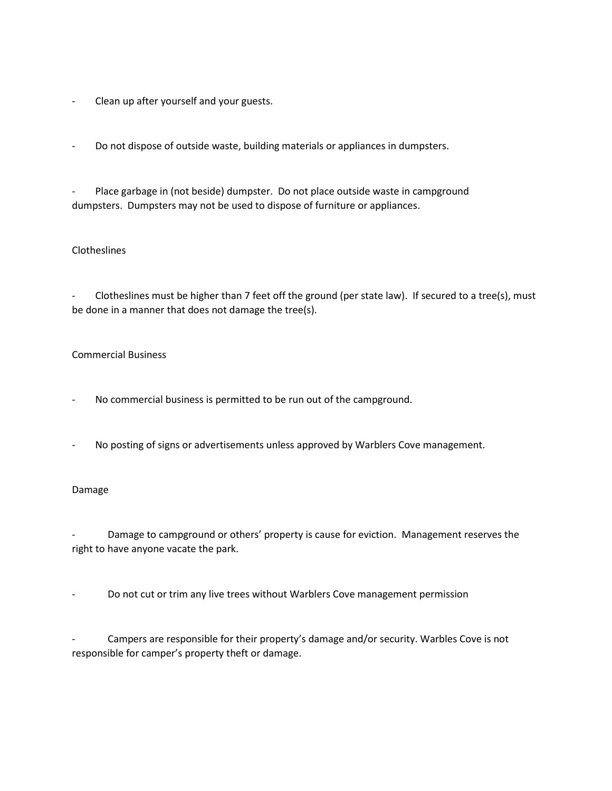- Clean up after yourself and your guests.
- Do not dispose of outside waste, building materials or appliances in dumpsters.

Place garbage in (not beside) dumpster. Do not place outside waste in campground dumpsters. Dumpsters may not be used to dispose of furniture or appliances.

## **Clotheslines**

Clotheslines must be higher than 7 feet off the ground (per state law). If secured to a tree(s), must be done in a manner that does not damage the tree(s).

### Commercial Business

- No commercial business is permitted to be run out of the campground.
- No posting of signs or advertisements unless approved by Warblers Cove management.

## Damage

Damage to campground or others' property is cause for eviction. Management reserves the right to have anyone vacate the park.

Do not cut or trim any live trees without Warblers Cove management permission

Campers are responsible for their property's damage and/or security. Warbles Cove is not responsible for camper's property theft or damage.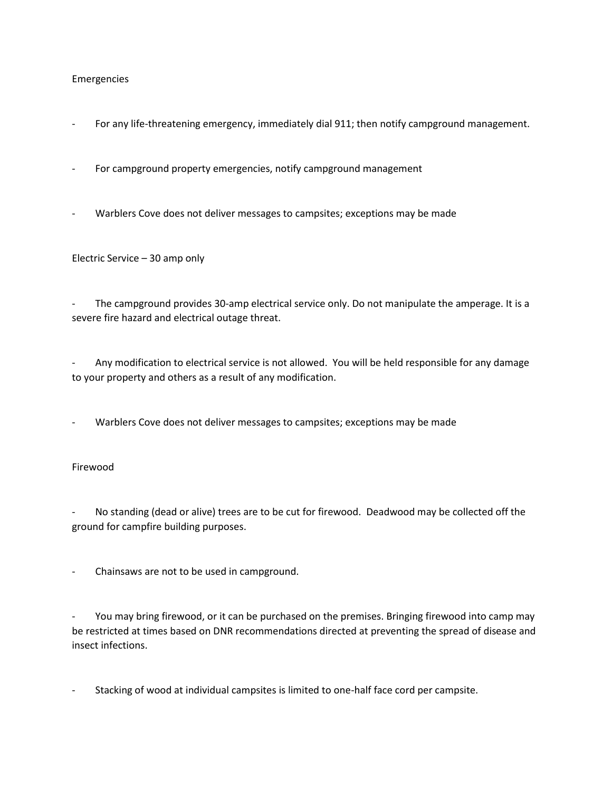### Emergencies

- For any life-threatening emergency, immediately dial 911; then notify campground management.
- For campground property emergencies, notify campground management
- Warblers Cove does not deliver messages to campsites; exceptions may be made

Electric Service – 30 amp only

The campground provides 30-amp electrical service only. Do not manipulate the amperage. It is a severe fire hazard and electrical outage threat.

Any modification to electrical service is not allowed. You will be held responsible for any damage to your property and others as a result of any modification.

Warblers Cove does not deliver messages to campsites; exceptions may be made

## Firewood

No standing (dead or alive) trees are to be cut for firewood. Deadwood may be collected off the ground for campfire building purposes.

Chainsaws are not to be used in campground.

You may bring firewood, or it can be purchased on the premises. Bringing firewood into camp may be restricted at times based on DNR recommendations directed at preventing the spread of disease and insect infections.

Stacking of wood at individual campsites is limited to one-half face cord per campsite.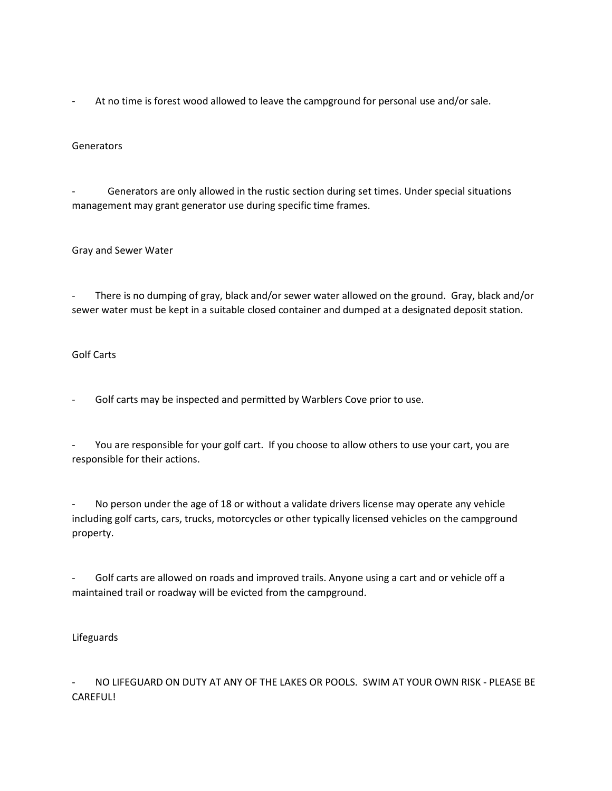- At no time is forest wood allowed to leave the campground for personal use and/or sale.

### **Generators**

Generators are only allowed in the rustic section during set times. Under special situations management may grant generator use during specific time frames.

### Gray and Sewer Water

There is no dumping of gray, black and/or sewer water allowed on the ground. Gray, black and/or sewer water must be kept in a suitable closed container and dumped at a designated deposit station.

### Golf Carts

Golf carts may be inspected and permitted by Warblers Cove prior to use.

You are responsible for your golf cart. If you choose to allow others to use your cart, you are responsible for their actions.

No person under the age of 18 or without a validate drivers license may operate any vehicle including golf carts, cars, trucks, motorcycles or other typically licensed vehicles on the campground property.

Golf carts are allowed on roads and improved trails. Anyone using a cart and or vehicle off a maintained trail or roadway will be evicted from the campground.

## Lifeguards

NO LIFEGUARD ON DUTY AT ANY OF THE LAKES OR POOLS. SWIM AT YOUR OWN RISK - PLEASE BE CAREFUL!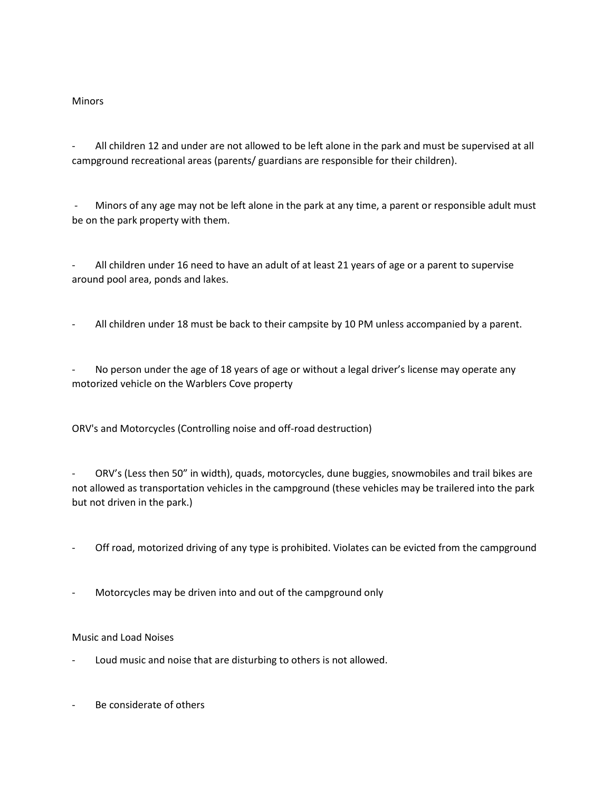## **Minors**

All children 12 and under are not allowed to be left alone in the park and must be supervised at all campground recreational areas (parents/ guardians are responsible for their children).

- Minors of any age may not be left alone in the park at any time, a parent or responsible adult must be on the park property with them.

All children under 16 need to have an adult of at least 21 years of age or a parent to supervise around pool area, ponds and lakes.

All children under 18 must be back to their campsite by 10 PM unless accompanied by a parent.

No person under the age of 18 years of age or without a legal driver's license may operate any motorized vehicle on the Warblers Cove property

ORV's and Motorcycles (Controlling noise and off-road destruction)

- ORV's (Less then 50" in width), quads, motorcycles, dune buggies, snowmobiles and trail bikes are not allowed as transportation vehicles in the campground (these vehicles may be trailered into the park but not driven in the park.)

- Off road, motorized driving of any type is prohibited. Violates can be evicted from the campground
- Motorcycles may be driven into and out of the campground only

## Music and Load Noises

- Loud music and noise that are disturbing to others is not allowed.
- Be considerate of others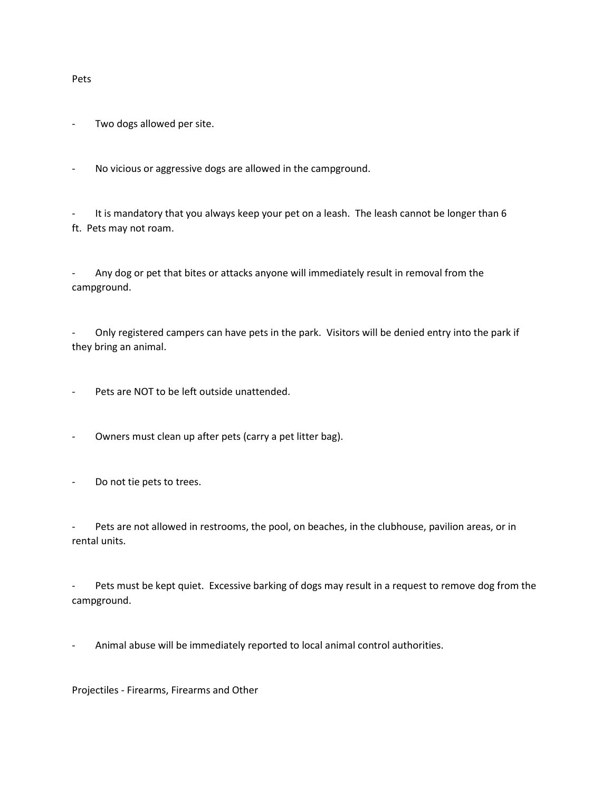Pets

Two dogs allowed per site.

No vicious or aggressive dogs are allowed in the campground.

It is mandatory that you always keep your pet on a leash. The leash cannot be longer than 6 ft. Pets may not roam.

- Any dog or pet that bites or attacks anyone will immediately result in removal from the campground.

Only registered campers can have pets in the park. Visitors will be denied entry into the park if they bring an animal.

Pets are NOT to be left outside unattended.

- Owners must clean up after pets (carry a pet litter bag).

- Do not tie pets to trees.

Pets are not allowed in restrooms, the pool, on beaches, in the clubhouse, pavilion areas, or in rental units.

Pets must be kept quiet. Excessive barking of dogs may result in a request to remove dog from the campground.

Animal abuse will be immediately reported to local animal control authorities.

Projectiles - Firearms, Firearms and Other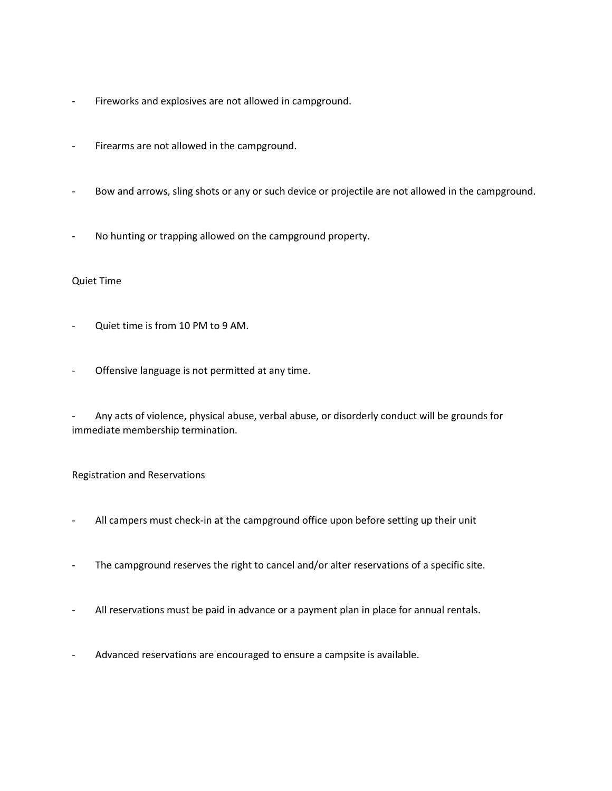- Fireworks and explosives are not allowed in campground.
- Firearms are not allowed in the campground.
- Bow and arrows, sling shots or any or such device or projectile are not allowed in the campground.
- No hunting or trapping allowed on the campground property.

### Quiet Time

- Quiet time is from 10 PM to 9 AM.
- Offensive language is not permitted at any time.
- Any acts of violence, physical abuse, verbal abuse, or disorderly conduct will be grounds for immediate membership termination.

## Registration and Reservations

- All campers must check-in at the campground office upon before setting up their unit
- The campground reserves the right to cancel and/or alter reservations of a specific site.
- All reservations must be paid in advance or a payment plan in place for annual rentals.
- Advanced reservations are encouraged to ensure a campsite is available.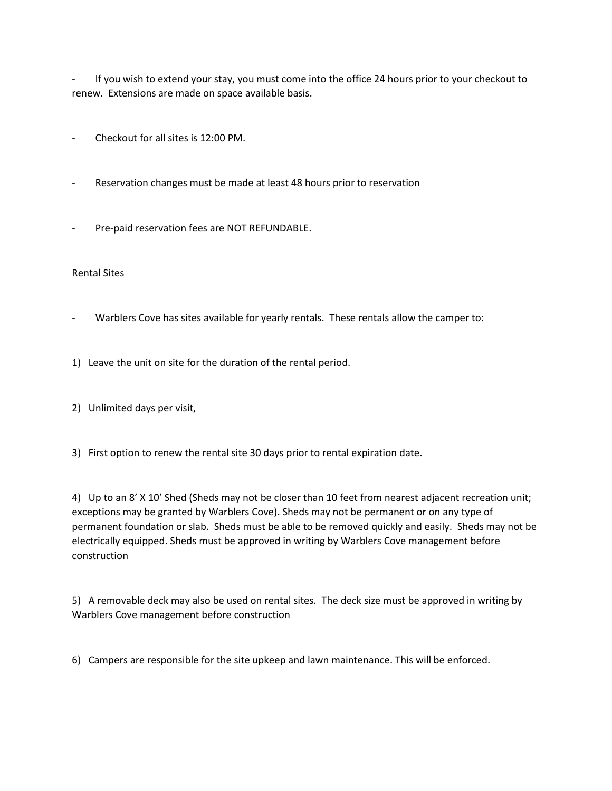If you wish to extend your stay, you must come into the office 24 hours prior to your checkout to renew. Extensions are made on space available basis.

- Checkout for all sites is 12:00 PM.
- Reservation changes must be made at least 48 hours prior to reservation
- Pre-paid reservation fees are NOT REFUNDABLE.

## Rental Sites

- Warblers Cove has sites available for yearly rentals. These rentals allow the camper to:
- 1) Leave the unit on site for the duration of the rental period.
- 2) Unlimited days per visit,
- 3) First option to renew the rental site 30 days prior to rental expiration date.

4) Up to an 8' X 10' Shed (Sheds may not be closer than 10 feet from nearest adjacent recreation unit; exceptions may be granted by Warblers Cove). Sheds may not be permanent or on any type of permanent foundation or slab. Sheds must be able to be removed quickly and easily. Sheds may not be electrically equipped. Sheds must be approved in writing by Warblers Cove management before construction

5) A removable deck may also be used on rental sites. The deck size must be approved in writing by Warblers Cove management before construction

6) Campers are responsible for the site upkeep and lawn maintenance. This will be enforced.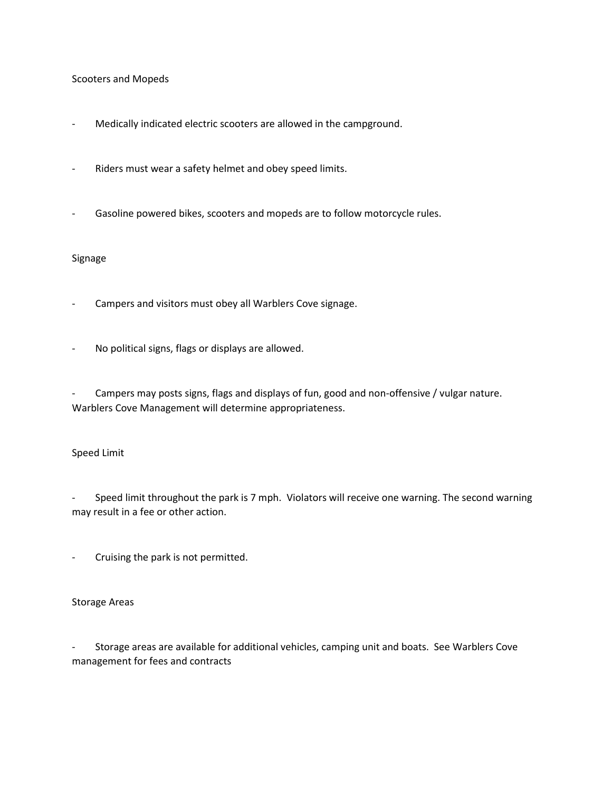### Scooters and Mopeds

- Medically indicated electric scooters are allowed in the campground.
- Riders must wear a safety helmet and obey speed limits.
- Gasoline powered bikes, scooters and mopeds are to follow motorcycle rules.

### Signage

- Campers and visitors must obey all Warblers Cove signage.
- No political signs, flags or displays are allowed.

Campers may posts signs, flags and displays of fun, good and non-offensive / vulgar nature. Warblers Cove Management will determine appropriateness.

#### Speed Limit

- Speed limit throughout the park is 7 mph. Violators will receive one warning. The second warning may result in a fee or other action.

- Cruising the park is not permitted.

#### Storage Areas

- Storage areas are available for additional vehicles, camping unit and boats. See Warblers Cove management for fees and contracts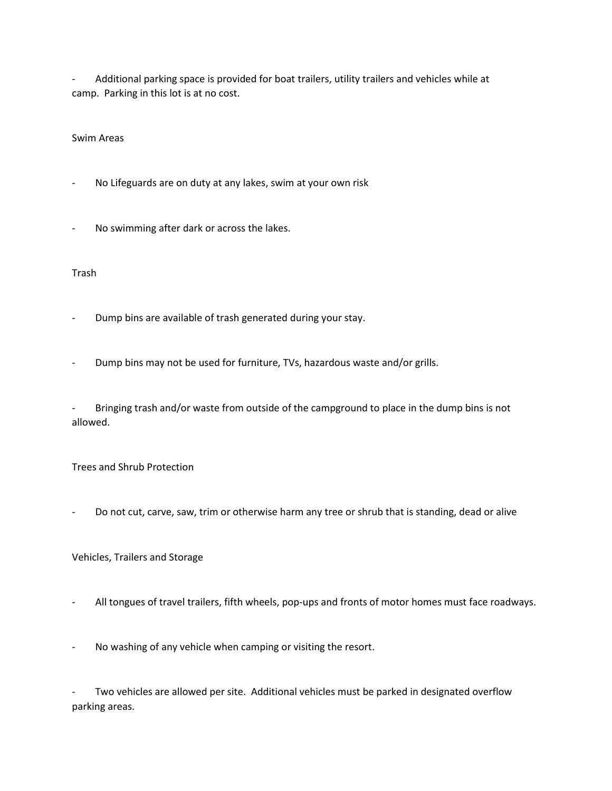- Additional parking space is provided for boat trailers, utility trailers and vehicles while at camp. Parking in this lot is at no cost.

### Swim Areas

- No Lifeguards are on duty at any lakes, swim at your own risk
- No swimming after dark or across the lakes.

#### Trash

- Dump bins are available of trash generated during your stay.
- Dump bins may not be used for furniture, TVs, hazardous waste and/or grills.

Bringing trash and/or waste from outside of the campground to place in the dump bins is not allowed.

#### Trees and Shrub Protection

Do not cut, carve, saw, trim or otherwise harm any tree or shrub that is standing, dead or alive

## Vehicles, Trailers and Storage

- All tongues of travel trailers, fifth wheels, pop-ups and fronts of motor homes must face roadways.
- No washing of any vehicle when camping or visiting the resort.

Two vehicles are allowed per site. Additional vehicles must be parked in designated overflow parking areas.